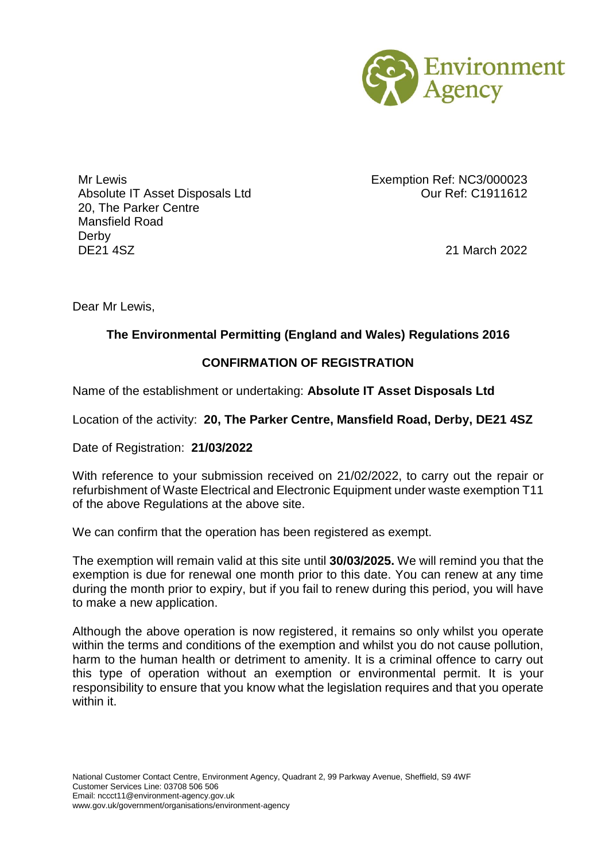

Mr Lewis Exemption Ref: NC3/000023 Absolute IT Asset Disposals Ltd Qur Ref: C1911612 20, The Parker Centre Mansfield Road Derby DE21 4SZ 21 March 2022

Dear Mr Lewis,

## **The Environmental Permitting (England and Wales) Regulations 2016**

## **CONFIRMATION OF REGISTRATION**

Name of the establishment or undertaking: **Absolute IT Asset Disposals Ltd**

Location of the activity: **20, The Parker Centre, Mansfield Road, Derby, DE21 4SZ**

Date of Registration: **21/03/2022**

With reference to your submission received on 21/02/2022, to carry out the repair or refurbishment of Waste Electrical and Electronic Equipment under waste exemption T11 of the above Regulations at the above site.

We can confirm that the operation has been registered as exempt.

The exemption will remain valid at this site until **30/03/2025.** We will remind you that the exemption is due for renewal one month prior to this date. You can renew at any time during the month prior to expiry, but if you fail to renew during this period, you will have to make a new application.

Although the above operation is now registered, it remains so only whilst you operate within the terms and conditions of the exemption and whilst you do not cause pollution, harm to the human health or detriment to amenity. It is a criminal offence to carry out this type of operation without an exemption or environmental permit. It is your responsibility to ensure that you know what the legislation requires and that you operate within it.